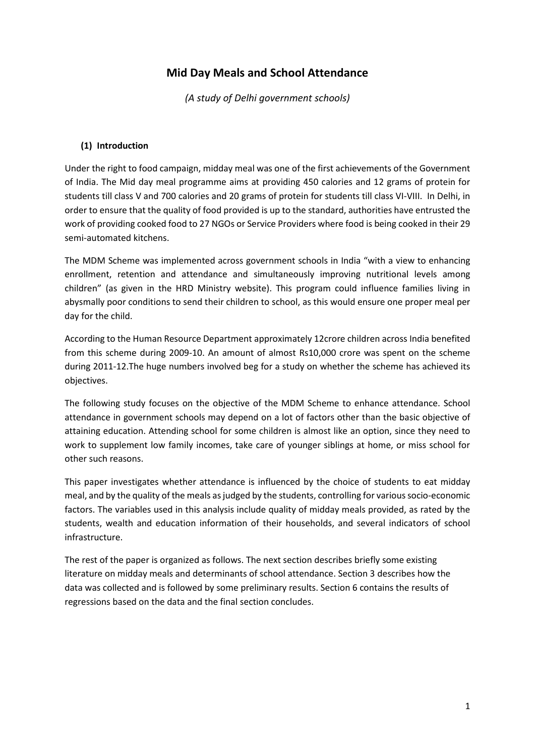# **Mid Day Meals and School Attendance**

*(A study of Delhi government schools)*

# **(1) Introduction**

Under the right to food campaign, midday meal was one of the first achievements of the Government of India. The Mid day meal programme aims at providing 450 calories and 12 grams of protein for students till class V and 700 calories and 20 grams of protein for students till class VI-VIII. In Delhi, in order to ensure that the quality of food provided is up to the standard, authorities have entrusted the work of providing cooked food to 27 NGOs or Service Providers where food is being cooked in their 29 semi-automated kitchens.

The MDM Scheme was implemented across government schools in India "with a view to enhancing enrollment, retention and attendance and simultaneously improving nutritional levels among children" (as given in the HRD Ministry website). This program could influence families living in abysmally poor conditions to send their children to school, as this would ensure one proper meal per day for the child.

According to the Human Resource Department approximately 12crore children across India benefited from this scheme during 2009-10. An amount of almost Rs10,000 crore was spent on the scheme during 2011-12.The huge numbers involved beg for a study on whether the scheme has achieved its objectives.

The following study focuses on the objective of the MDM Scheme to enhance attendance. School attendance in government schools may depend on a lot of factors other than the basic objective of attaining education. Attending school for some children is almost like an option, since they need to work to supplement low family incomes, take care of younger siblings at home, or miss school for other such reasons.

This paper investigates whether attendance is influenced by the choice of students to eat midday meal, and by the quality of the meals as judged by the students, controlling for various socio-economic factors. The variables used in this analysis include quality of midday meals provided, as rated by the students, wealth and education information of their households, and several indicators of school infrastructure.

The rest of the paper is organized as follows. The next section describes briefly some existing literature on midday meals and determinants of school attendance. Section 3 describes how the data was collected and is followed by some preliminary results. Section 6 contains the results of regressions based on the data and the final section concludes.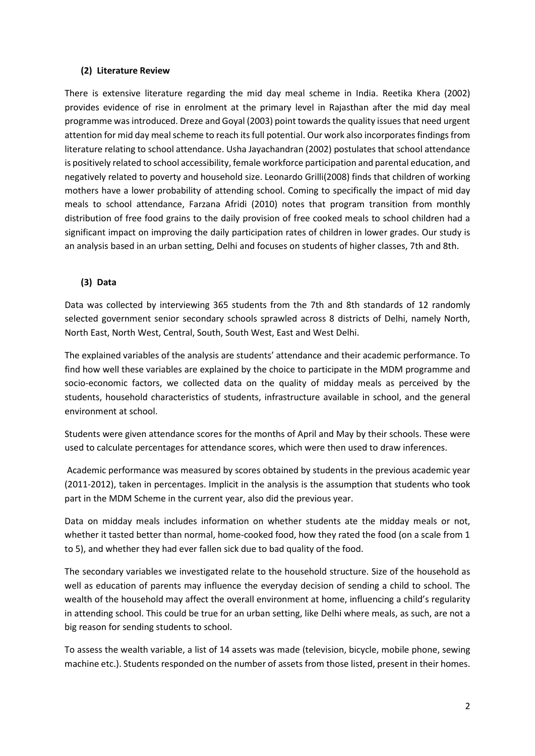# **(2) Literature Review**

There is extensive literature regarding the mid day meal scheme in India. Reetika Khera (2002) provides evidence of rise in enrolment at the primary level in Rajasthan after the mid day meal programme was introduced. Dreze and Goyal (2003) point towards the quality issues that need urgent attention for mid day meal scheme to reach its full potential. Our work also incorporates findings from literature relating to school attendance. Usha Jayachandran (2002) postulates that school attendance is positively related to school accessibility, female workforce participation and parental education, and negatively related to poverty and household size. Leonardo Grilli(2008) finds that children of working mothers have a lower probability of attending school. Coming to specifically the impact of mid day meals to school attendance, Farzana Afridi (2010) notes that program transition from monthly distribution of free food grains to the daily provision of free cooked meals to school children had a significant impact on improving the daily participation rates of children in lower grades. Our study is an analysis based in an urban setting, Delhi and focuses on students of higher classes, 7th and 8th.

# **(3) Data**

Data was collected by interviewing 365 students from the 7th and 8th standards of 12 randomly selected government senior secondary schools sprawled across 8 districts of Delhi, namely North, North East, North West, Central, South, South West, East and West Delhi.

The explained variables of the analysis are students' attendance and their academic performance. To find how well these variables are explained by the choice to participate in the MDM programme and socio-economic factors, we collected data on the quality of midday meals as perceived by the students, household characteristics of students, infrastructure available in school, and the general environment at school.

Students were given attendance scores for the months of April and May by their schools. These were used to calculate percentages for attendance scores, which were then used to draw inferences.

Academic performance was measured by scores obtained by students in the previous academic year (2011-2012), taken in percentages. Implicit in the analysis is the assumption that students who took part in the MDM Scheme in the current year, also did the previous year.

Data on midday meals includes information on whether students ate the midday meals or not, whether it tasted better than normal, home-cooked food, how they rated the food (on a scale from 1 to 5), and whether they had ever fallen sick due to bad quality of the food.

The secondary variables we investigated relate to the household structure. Size of the household as well as education of parents may influence the everyday decision of sending a child to school. The wealth of the household may affect the overall environment at home, influencing a child's regularity in attending school. This could be true for an urban setting, like Delhi where meals, as such, are not a big reason for sending students to school.

To assess the wealth variable, a list of 14 assets was made (television, bicycle, mobile phone, sewing machine etc.). Students responded on the number of assets from those listed, present in their homes.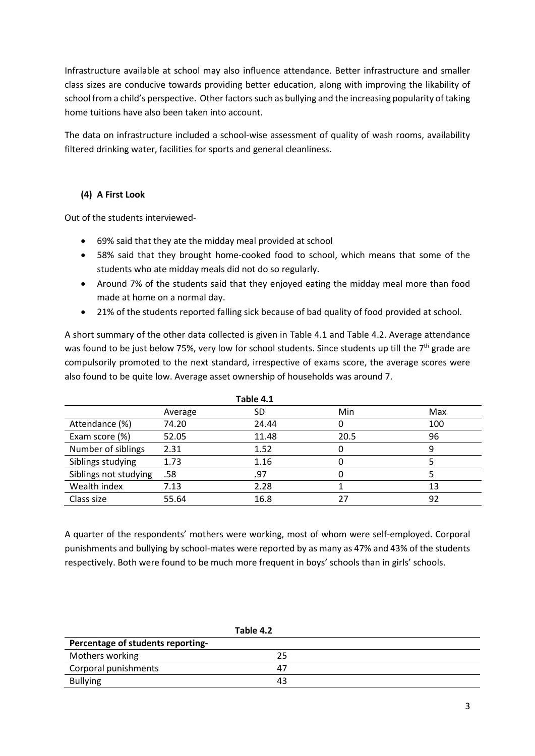Infrastructure available at school may also influence attendance. Better infrastructure and smaller class sizes are conducive towards providing better education, along with improving the likability of school from a child's perspective. Other factors such as bullying and the increasing popularity of taking home tuitions have also been taken into account.

The data on infrastructure included a school-wise assessment of quality of wash rooms, availability filtered drinking water, facilities for sports and general cleanliness.

# **(4) A First Look**

Out of the students interviewed-

- 69% said that they ate the midday meal provided at school
- 58% said that they brought home-cooked food to school, which means that some of the students who ate midday meals did not do so regularly.
- Around 7% of the students said that they enjoyed eating the midday meal more than food made at home on a normal day.
- 21% of the students reported falling sick because of bad quality of food provided at school.

A short summary of the other data collected is given in Table 4.1 and Table 4.2. Average attendance was found to be just below 75%, very low for school students. Since students up till the 7<sup>th</sup> grade are compulsorily promoted to the next standard, irrespective of exams score, the average scores were also found to be quite low. Average asset ownership of households was around 7.

| Table 4.1             |         |       |      |     |
|-----------------------|---------|-------|------|-----|
|                       | Average | SD    | Min  | Max |
| Attendance (%)        | 74.20   | 24.44 |      | 100 |
| Exam score (%)        | 52.05   | 11.48 | 20.5 | 96  |
| Number of siblings    | 2.31    | 1.52  |      | 9   |
| Siblings studying     | 1.73    | 1.16  |      |     |
| Siblings not studying | .58     | .97   |      |     |
| Wealth index          | 7.13    | 2.28  |      | 13  |
| Class size            | 55.64   | 16.8  | 27   | 92  |

A quarter of the respondents' mothers were working, most of whom were self-employed. Corporal punishments and bullying by school-mates were reported by as many as 47% and 43% of the students respectively. Both were found to be much more frequent in boys' schools than in girls' schools.

|                                   | Table 4.2 |  |
|-----------------------------------|-----------|--|
| Percentage of students reporting- |           |  |
| Mothers working                   | 25        |  |
| Corporal punishments              |           |  |
| <b>Bullying</b>                   | 43        |  |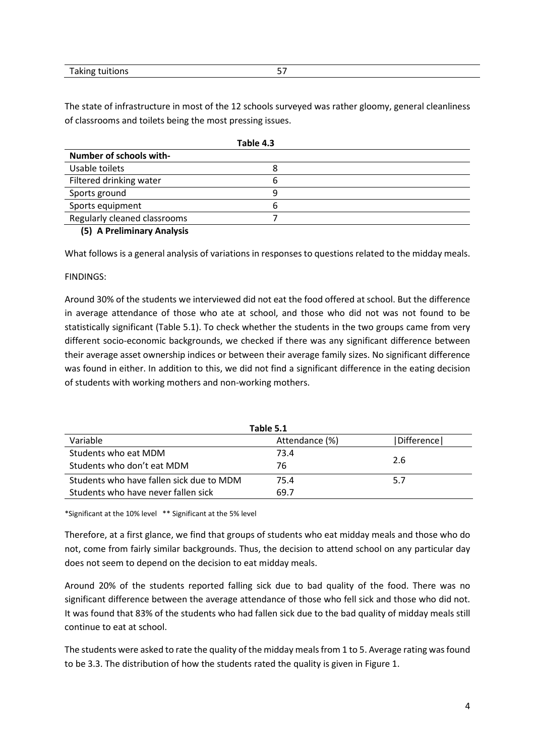|                 | -- |
|-----------------|----|
| Taking tuitions |    |

The state of infrastructure in most of the 12 schools surveyed was rather gloomy, general cleanliness of classrooms and toilets being the most pressing issues.

| Table 4.3                    |   |  |
|------------------------------|---|--|
| Number of schools with-      |   |  |
| Usable toilets               |   |  |
| Filtered drinking water      | b |  |
| Sports ground                | q |  |
| Sports equipment             |   |  |
| Regularly cleaned classrooms |   |  |
| $\sqrt{2}$                   |   |  |

#### **(5) A Preliminary Analysis**

What follows is a general analysis of variations in responses to questions related to the midday meals.

#### FINDINGS:

Around 30% of the students we interviewed did not eat the food offered at school. But the difference in average attendance of those who ate at school, and those who did not was not found to be statistically significant (Table 5.1). To check whether the students in the two groups came from very different socio-economic backgrounds, we checked if there was any significant difference between their average asset ownership indices or between their average family sizes. No significant difference was found in either. In addition to this, we did not find a significant difference in the eating decision of students with working mothers and non-working mothers.

| Table 5.1                                |                |                |  |
|------------------------------------------|----------------|----------------|--|
| Variable                                 | Attendance (%) | l Difference l |  |
| Students who eat MDM                     | 73.4           |                |  |
| Students who don't eat MDM               | 76             | 2.6            |  |
| Students who have fallen sick due to MDM | 75.4           | 5.7            |  |
| Students who have never fallen sick      | 69.7           |                |  |

\*Significant at the 10% level \*\* Significant at the 5% level

Therefore, at a first glance, we find that groups of students who eat midday meals and those who do not, come from fairly similar backgrounds. Thus, the decision to attend school on any particular day does not seem to depend on the decision to eat midday meals.

Around 20% of the students reported falling sick due to bad quality of the food. There was no significant difference between the average attendance of those who fell sick and those who did not. It was found that 83% of the students who had fallen sick due to the bad quality of midday meals still continue to eat at school.

The students were asked to rate the quality of the midday meals from 1 to 5. Average rating was found to be 3.3. The distribution of how the students rated the quality is given in Figure 1.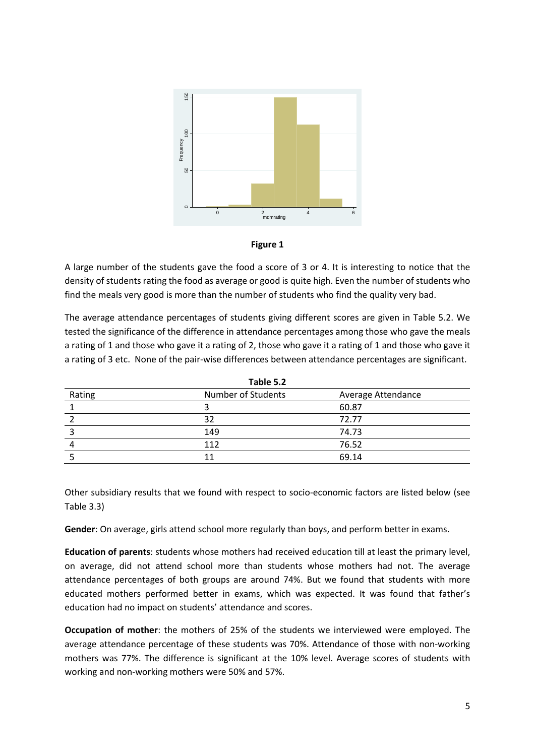



A large number of the students gave the food a score of 3 or 4. It is interesting to notice that the density of students rating the food as average or good is quite high. Even the number of students who find the meals very good is more than the number of students who find the quality very bad.

The average attendance percentages of students giving different scores are given in Table 5.2. We tested the significance of the difference in attendance percentages among those who gave the meals a rating of 1 and those who gave it a rating of 2, those who gave it a rating of 1 and those who gave it a rating of 3 etc. None of the pair-wise differences between attendance percentages are significant.

| Table 5.2 |                    |                    |  |
|-----------|--------------------|--------------------|--|
| Rating    | Number of Students | Average Attendance |  |
|           |                    | 60.87              |  |
|           | 32                 | 72.77              |  |
|           | 149                | 74.73              |  |
|           | 112                | 76.52              |  |
|           |                    | 69.14              |  |

Other subsidiary results that we found with respect to socio-economic factors are listed below (see Table 3.3)

**Gender**: On average, girls attend school more regularly than boys, and perform better in exams.

**Education of parents**: students whose mothers had received education till at least the primary level, on average, did not attend school more than students whose mothers had not. The average attendance percentages of both groups are around 74%. But we found that students with more educated mothers performed better in exams, which was expected. It was found that father's education had no impact on students' attendance and scores.

**Occupation of mother**: the mothers of 25% of the students we interviewed were employed. The average attendance percentage of these students was 70%. Attendance of those with non-working mothers was 77%. The difference is significant at the 10% level. Average scores of students with working and non-working mothers were 50% and 57%.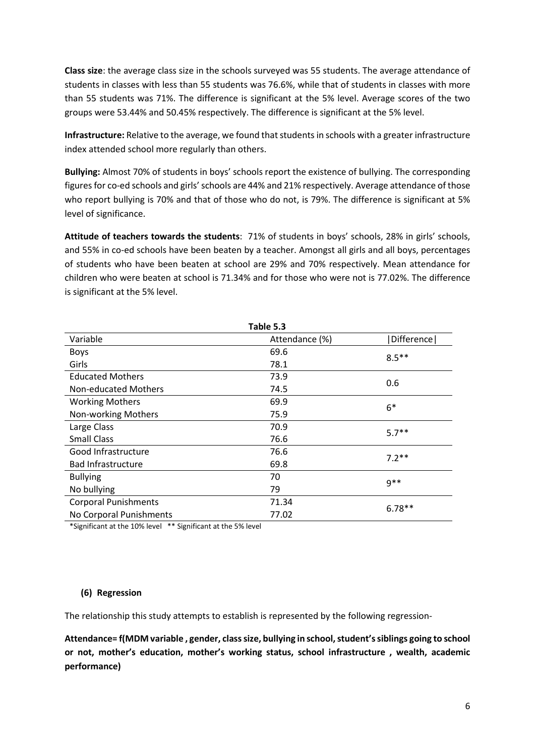**Class size**: the average class size in the schools surveyed was 55 students. The average attendance of students in classes with less than 55 students was 76.6%, while that of students in classes with more than 55 students was 71%. The difference is significant at the 5% level. Average scores of the two groups were 53.44% and 50.45% respectively. The difference is significant at the 5% level.

**Infrastructure:** Relative to the average, we found that students in schools with a greater infrastructure index attended school more regularly than others.

**Bullying:** Almost 70% of students in boys' schools report the existence of bullying. The corresponding figures for co-ed schools and girls' schools are 44% and 21% respectively. Average attendance of those who report bullying is 70% and that of those who do not, is 79%. The difference is significant at 5% level of significance.

**Attitude of teachers towards the students**: 71% of students in boys' schools, 28% in girls' schools, and 55% in co-ed schools have been beaten by a teacher. Amongst all girls and all boys, percentages of students who have been beaten at school are 29% and 70% respectively. Mean attendance for children who were beaten at school is 71.34% and for those who were not is 77.02%. The difference is significant at the 5% level.

| Table 5.3                            |                |            |  |  |
|--------------------------------------|----------------|------------|--|--|
| Variable                             | Attendance (%) | Difference |  |  |
| <b>Boys</b>                          | 69.6           | $8.5***$   |  |  |
| Girls                                | 78.1           |            |  |  |
| <b>Educated Mothers</b>              | 73.9           | 0.6        |  |  |
| Non-educated Mothers                 | 74.5           |            |  |  |
| <b>Working Mothers</b>               | 69.9           | $6*$       |  |  |
| Non-working Mothers                  | 75.9           |            |  |  |
| Large Class                          | 70.9           | $5.7**$    |  |  |
| <b>Small Class</b>                   | 76.6           |            |  |  |
| Good Infrastructure                  | 76.6           | $7.2**$    |  |  |
| <b>Bad Infrastructure</b>            | 69.8           |            |  |  |
| <b>Bullying</b>                      | 70             | $9**$      |  |  |
| No bullying                          | 79             |            |  |  |
| <b>Corporal Punishments</b><br>71.34 |                | $6.78**$   |  |  |
| No Corporal Punishments              | 77.02          |            |  |  |

\*Significant at the 10% level \*\* Significant at the 5% level

#### **(6) Regression**

The relationship this study attempts to establish is represented by the following regression-

**Attendance= f(MDM variable , gender, class size, bullying in school, student's siblings going to school or not, mother's education, mother's working status, school infrastructure , wealth, academic performance)**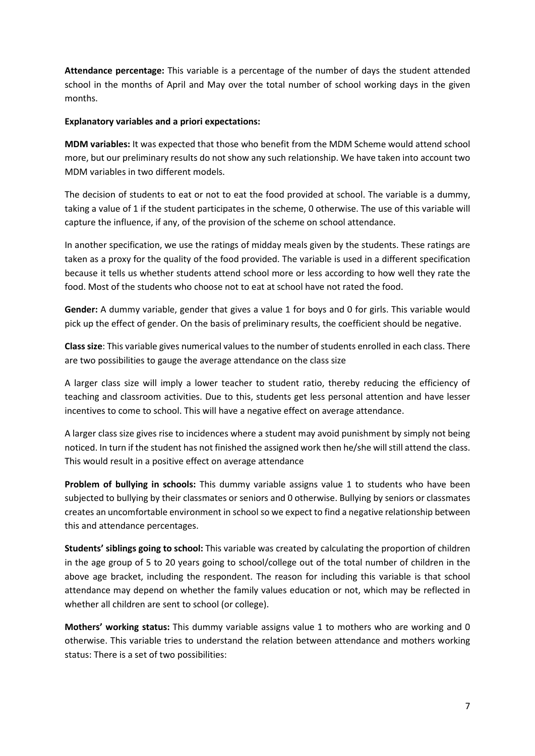**Attendance percentage:** This variable is a percentage of the number of days the student attended school in the months of April and May over the total number of school working days in the given months.

#### **Explanatory variables and a priori expectations:**

**MDM variables:** It was expected that those who benefit from the MDM Scheme would attend school more, but our preliminary results do not show any such relationship. We have taken into account two MDM variables in two different models.

The decision of students to eat or not to eat the food provided at school. The variable is a dummy, taking a value of 1 if the student participates in the scheme, 0 otherwise. The use of this variable will capture the influence, if any, of the provision of the scheme on school attendance.

In another specification, we use the ratings of midday meals given by the students. These ratings are taken as a proxy for the quality of the food provided. The variable is used in a different specification because it tells us whether students attend school more or less according to how well they rate the food. Most of the students who choose not to eat at school have not rated the food.

**Gender:** A dummy variable, gender that gives a value 1 for boys and 0 for girls. This variable would pick up the effect of gender. On the basis of preliminary results, the coefficient should be negative.

**Class size**: This variable gives numerical values to the number of students enrolled in each class. There are two possibilities to gauge the average attendance on the class size

A larger class size will imply a lower teacher to student ratio, thereby reducing the efficiency of teaching and classroom activities. Due to this, students get less personal attention and have lesser incentives to come to school. This will have a negative effect on average attendance.

A larger class size gives rise to incidences where a student may avoid punishment by simply not being noticed. In turn if the student has not finished the assigned work then he/she will still attend the class. This would result in a positive effect on average attendance

**Problem of bullying in schools:** This dummy variable assigns value 1 to students who have been subjected to bullying by their classmates or seniors and 0 otherwise. Bullying by seniors or classmates creates an uncomfortable environment in school so we expect to find a negative relationship between this and attendance percentages.

**Students' siblings going to school:** This variable was created by calculating the proportion of children in the age group of 5 to 20 years going to school/college out of the total number of children in the above age bracket, including the respondent. The reason for including this variable is that school attendance may depend on whether the family values education or not, which may be reflected in whether all children are sent to school (or college).

**Mothers' working status:** This dummy variable assigns value 1 to mothers who are working and 0 otherwise. This variable tries to understand the relation between attendance and mothers working status: There is a set of two possibilities: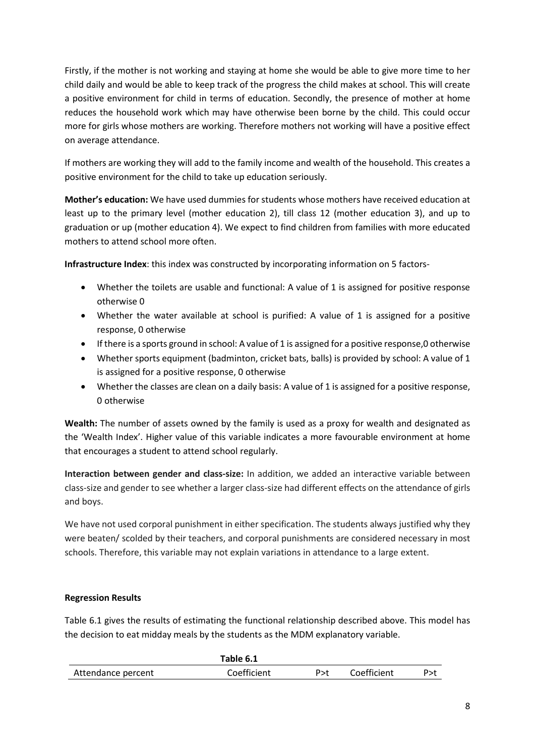Firstly, if the mother is not working and staying at home she would be able to give more time to her child daily and would be able to keep track of the progress the child makes at school. This will create a positive environment for child in terms of education. Secondly, the presence of mother at home reduces the household work which may have otherwise been borne by the child. This could occur more for girls whose mothers are working. Therefore mothers not working will have a positive effect on average attendance.

If mothers are working they will add to the family income and wealth of the household. This creates a positive environment for the child to take up education seriously.

**Mother's education:** We have used dummies for students whose mothers have received education at least up to the primary level (mother education 2), till class 12 (mother education 3), and up to graduation or up (mother education 4). We expect to find children from families with more educated mothers to attend school more often.

**Infrastructure Index**: this index was constructed by incorporating information on 5 factors-

- Whether the toilets are usable and functional: A value of 1 is assigned for positive response otherwise 0
- Whether the water available at school is purified: A value of 1 is assigned for a positive response, 0 otherwise
- If there is a sports ground in school: A value of 1 is assigned for a positive response,0 otherwise
- Whether sports equipment (badminton, cricket bats, balls) is provided by school: A value of 1 is assigned for a positive response, 0 otherwise
- Whether the classes are clean on a daily basis: A value of 1 is assigned for a positive response, 0 otherwise

**Wealth:** The number of assets owned by the family is used as a proxy for wealth and designated as the 'Wealth Index'. Higher value of this variable indicates a more favourable environment at home that encourages a student to attend school regularly.

**Interaction between gender and class-size:** In addition, we added an interactive variable between class-size and gender to see whether a larger class-size had different effects on the attendance of girls and boys.

We have not used corporal punishment in either specification. The students always justified why they were beaten/ scolded by their teachers, and corporal punishments are considered necessary in most schools. Therefore, this variable may not explain variations in attendance to a large extent.

# **Regression Results**

Table 6.1 gives the results of estimating the functional relationship described above. This model has the decision to eat midday meals by the students as the MDM explanatory variable.

|                    | Table 6.1   |       |             |     |
|--------------------|-------------|-------|-------------|-----|
| Attendance percent | Coefficient | P > t | Coefficient | P>1 |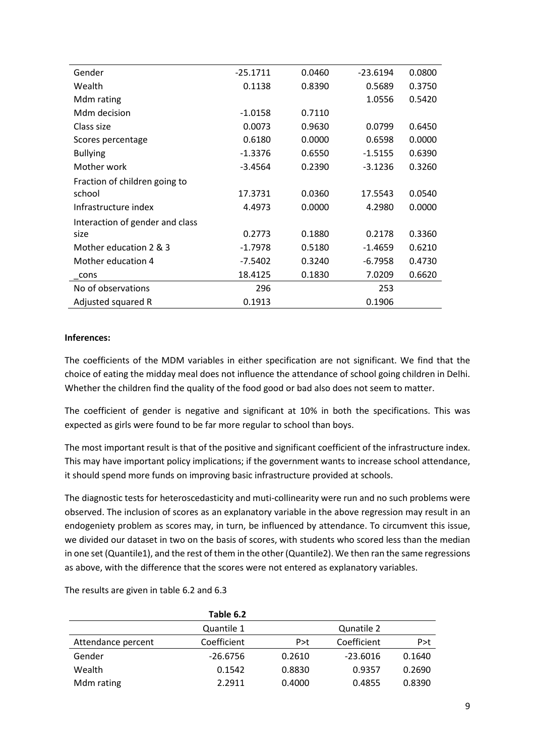| Gender                          | $-25.1711$ | 0.0460 | $-23.6194$ | 0.0800 |
|---------------------------------|------------|--------|------------|--------|
| Wealth                          | 0.1138     | 0.8390 | 0.5689     | 0.3750 |
| Mdm rating                      |            |        | 1.0556     | 0.5420 |
| Mdm decision                    | $-1.0158$  | 0.7110 |            |        |
| Class size                      | 0.0073     | 0.9630 | 0.0799     | 0.6450 |
| Scores percentage               | 0.6180     | 0.0000 | 0.6598     | 0.0000 |
| <b>Bullying</b>                 | $-1.3376$  | 0.6550 | $-1.5155$  | 0.6390 |
| Mother work                     | $-3.4564$  | 0.2390 | $-3.1236$  | 0.3260 |
| Fraction of children going to   |            |        |            |        |
| school                          | 17.3731    | 0.0360 | 17.5543    | 0.0540 |
| Infrastructure index            | 4.4973     | 0.0000 | 4.2980     | 0.0000 |
| Interaction of gender and class |            |        |            |        |
| size                            | 0.2773     | 0.1880 | 0.2178     | 0.3360 |
| Mother education 2 & 3          | $-1.7978$  | 0.5180 | $-1.4659$  | 0.6210 |
| Mother education 4              | $-7.5402$  | 0.3240 | $-6.7958$  | 0.4730 |
| cons                            | 18.4125    | 0.1830 | 7.0209     | 0.6620 |
| No of observations              | 296        |        | 253        |        |
| Adjusted squared R              | 0.1913     |        | 0.1906     |        |

# **Inferences:**

The coefficients of the MDM variables in either specification are not significant. We find that the choice of eating the midday meal does not influence the attendance of school going children in Delhi. Whether the children find the quality of the food good or bad also does not seem to matter.

The coefficient of gender is negative and significant at 10% in both the specifications. This was expected as girls were found to be far more regular to school than boys.

The most important result is that of the positive and significant coefficient of the infrastructure index. This may have important policy implications; if the government wants to increase school attendance, it should spend more funds on improving basic infrastructure provided at schools.

The diagnostic tests for heteroscedasticity and muti-collinearity were run and no such problems were observed. The inclusion of scores as an explanatory variable in the above regression may result in an endogeniety problem as scores may, in turn, be influenced by attendance. To circumvent this issue, we divided our dataset in two on the basis of scores, with students who scored less than the median in one set (Quantile1), and the rest of them in the other (Quantile2). We then ran the same regressions as above, with the difference that the scores were not entered as explanatory variables.

**Table 6.2** Quantile 1 Qunatile 2 Attendance percent Coefficient P>t Coefficient P>t Gender -26.6756 0.2610 -23.6016 0.1640 Wealth 0.1542 0.8830 0.9357 0.2690 Mdm rating  $2.2911$  0.4000 0.4855 0.8390

The results are given in table 6.2 and 6.3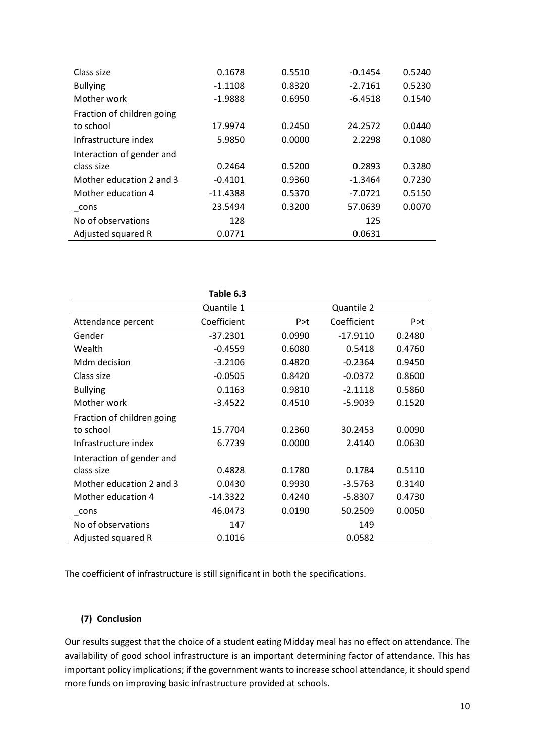| Class size                 | 0.1678     | 0.5510 | $-0.1454$ | 0.5240 |
|----------------------------|------------|--------|-----------|--------|
| <b>Bullying</b>            | $-1.1108$  | 0.8320 | $-2.7161$ | 0.5230 |
| Mother work                | $-1.9888$  | 0.6950 | $-6.4518$ | 0.1540 |
| Fraction of children going |            |        |           |        |
| to school                  | 17.9974    | 0.2450 | 24.2572   | 0.0440 |
| Infrastructure index       | 5.9850     | 0.0000 | 2.2298    | 0.1080 |
| Interaction of gender and  |            |        |           |        |
| class size                 | 0.2464     | 0.5200 | 0.2893    | 0.3280 |
| Mother education 2 and 3   | $-0.4101$  | 0.9360 | $-1.3464$ | 0.7230 |
| Mother education 4         | $-11.4388$ | 0.5370 | $-7.0721$ | 0.5150 |
| cons                       | 23.5494    | 0.3200 | 57.0639   | 0.0070 |
| No of observations         | 128        |        | 125       |        |
| Adjusted squared R         | 0.0771     |        | 0.0631    |        |

|                            | Table 6.3   |        |             |        |
|----------------------------|-------------|--------|-------------|--------|
|                            | Quantile 1  |        | Quantile 2  |        |
| Attendance percent         | Coefficient | P > t  | Coefficient | P > t  |
| Gender                     | $-37.2301$  | 0.0990 | $-17.9110$  | 0.2480 |
| Wealth                     | $-0.4559$   | 0.6080 | 0.5418      | 0.4760 |
| Mdm decision               | $-3.2106$   | 0.4820 | $-0.2364$   | 0.9450 |
| Class size                 | $-0.0505$   | 0.8420 | $-0.0372$   | 0.8600 |
| <b>Bullying</b>            | 0.1163      | 0.9810 | $-2.1118$   | 0.5860 |
| Mother work                | $-3.4522$   | 0.4510 | $-5.9039$   | 0.1520 |
| Fraction of children going |             |        |             |        |
| to school                  | 15.7704     | 0.2360 | 30.2453     | 0.0090 |
| Infrastructure index       | 6.7739      | 0.0000 | 2.4140      | 0.0630 |
| Interaction of gender and  |             |        |             |        |
| class size                 | 0.4828      | 0.1780 | 0.1784      | 0.5110 |
| Mother education 2 and 3   | 0.0430      | 0.9930 | $-3.5763$   | 0.3140 |
| Mother education 4         | $-14.3322$  | 0.4240 | $-5.8307$   | 0.4730 |
| cons                       | 46.0473     | 0.0190 | 50.2509     | 0.0050 |
| No of observations         | 147         |        | 149         |        |
| Adjusted squared R         | 0.1016      |        | 0.0582      |        |

The coefficient of infrastructure is still significant in both the specifications.

# **(7) Conclusion**

Our results suggest that the choice of a student eating Midday meal has no effect on attendance. The availability of good school infrastructure is an important determining factor of attendance. This has important policy implications; if the government wants to increase school attendance, it should spend more funds on improving basic infrastructure provided at schools.